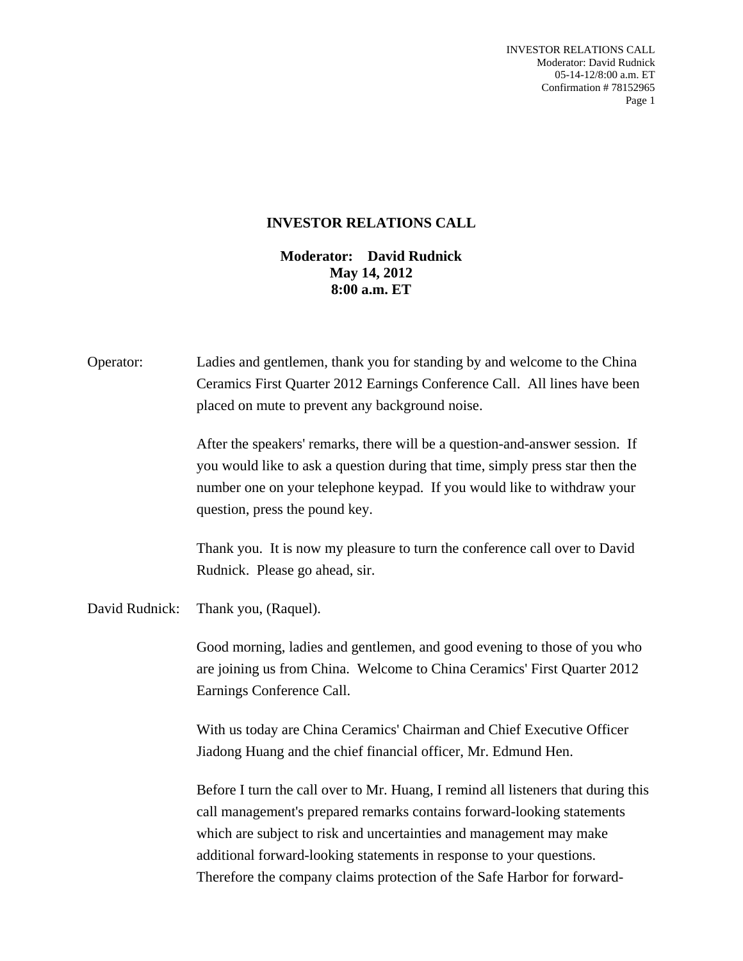INVESTOR RELATIONS CALL Moderator: David Rudnick 05-14-12/8:00 a.m. ET Confirmation # 78152965 Page 1

## **INVESTOR RELATIONS CALL**

## **Moderator: David Rudnick May 14, 2012 8:00 a.m. ET**

| Operator:      | Ladies and gentlemen, thank you for standing by and welcome to the China<br>Ceramics First Quarter 2012 Earnings Conference Call. All lines have been<br>placed on mute to prevent any background noise.                                                                                                   |
|----------------|------------------------------------------------------------------------------------------------------------------------------------------------------------------------------------------------------------------------------------------------------------------------------------------------------------|
|                | After the speakers' remarks, there will be a question-and-answer session. If<br>you would like to ask a question during that time, simply press star then the<br>number one on your telephone keypad. If you would like to withdraw your<br>question, press the pound key.                                 |
|                | Thank you. It is now my pleasure to turn the conference call over to David<br>Rudnick. Please go ahead, sir.                                                                                                                                                                                               |
| David Rudnick: | Thank you, (Raquel).                                                                                                                                                                                                                                                                                       |
|                | Good morning, ladies and gentlemen, and good evening to those of you who<br>are joining us from China. Welcome to China Ceramics' First Quarter 2012<br>Earnings Conference Call.                                                                                                                          |
|                | With us today are China Ceramics' Chairman and Chief Executive Officer<br>Jiadong Huang and the chief financial officer, Mr. Edmund Hen.                                                                                                                                                                   |
|                | Before I turn the call over to Mr. Huang, I remind all listeners that during this<br>call management's prepared remarks contains forward-looking statements<br>which are subject to risk and uncertainties and management may make<br>additional forward-looking statements in response to your questions. |

Therefore the company claims protection of the Safe Harbor for forward-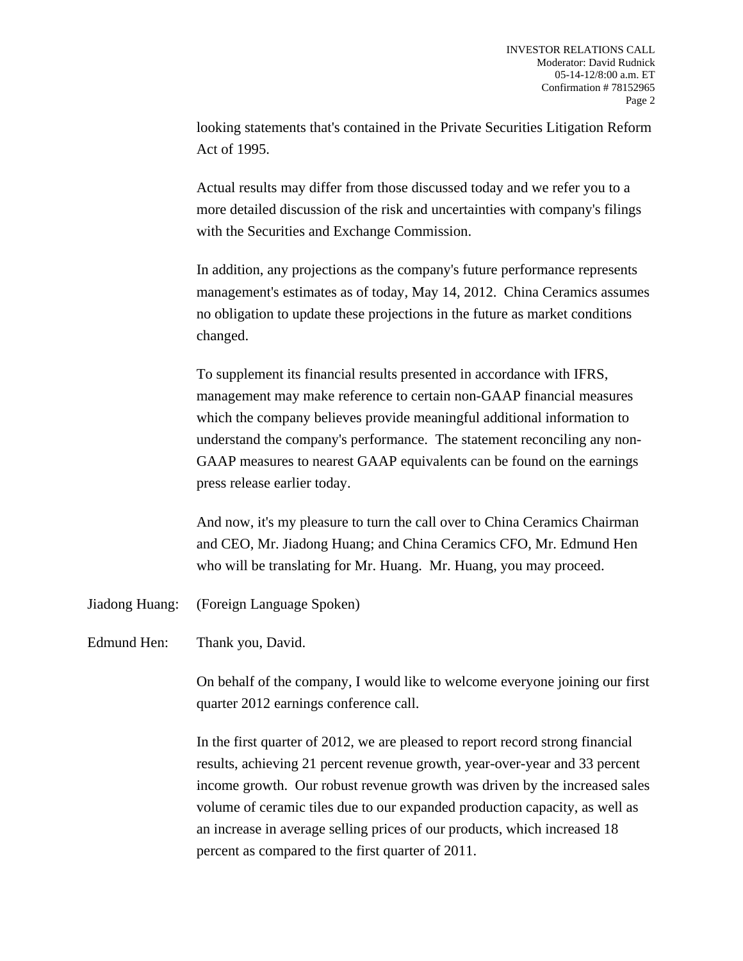looking statements that's contained in the Private Securities Litigation Reform Act of 1995.

 Actual results may differ from those discussed today and we refer you to a more detailed discussion of the risk and uncertainties with company's filings with the Securities and Exchange Commission.

 In addition, any projections as the company's future performance represents management's estimates as of today, May 14, 2012. China Ceramics assumes no obligation to update these projections in the future as market conditions changed.

 To supplement its financial results presented in accordance with IFRS, management may make reference to certain non-GAAP financial measures which the company believes provide meaningful additional information to understand the company's performance. The statement reconciling any non-GAAP measures to nearest GAAP equivalents can be found on the earnings press release earlier today.

 And now, it's my pleasure to turn the call over to China Ceramics Chairman and CEO, Mr. Jiadong Huang; and China Ceramics CFO, Mr. Edmund Hen who will be translating for Mr. Huang. Mr. Huang, you may proceed.

- Jiadong Huang: (Foreign Language Spoken)
- Edmund Hen: Thank you, David.

 On behalf of the company, I would like to welcome everyone joining our first quarter 2012 earnings conference call.

 In the first quarter of 2012, we are pleased to report record strong financial results, achieving 21 percent revenue growth, year-over-year and 33 percent income growth. Our robust revenue growth was driven by the increased sales volume of ceramic tiles due to our expanded production capacity, as well as an increase in average selling prices of our products, which increased 18 percent as compared to the first quarter of 2011.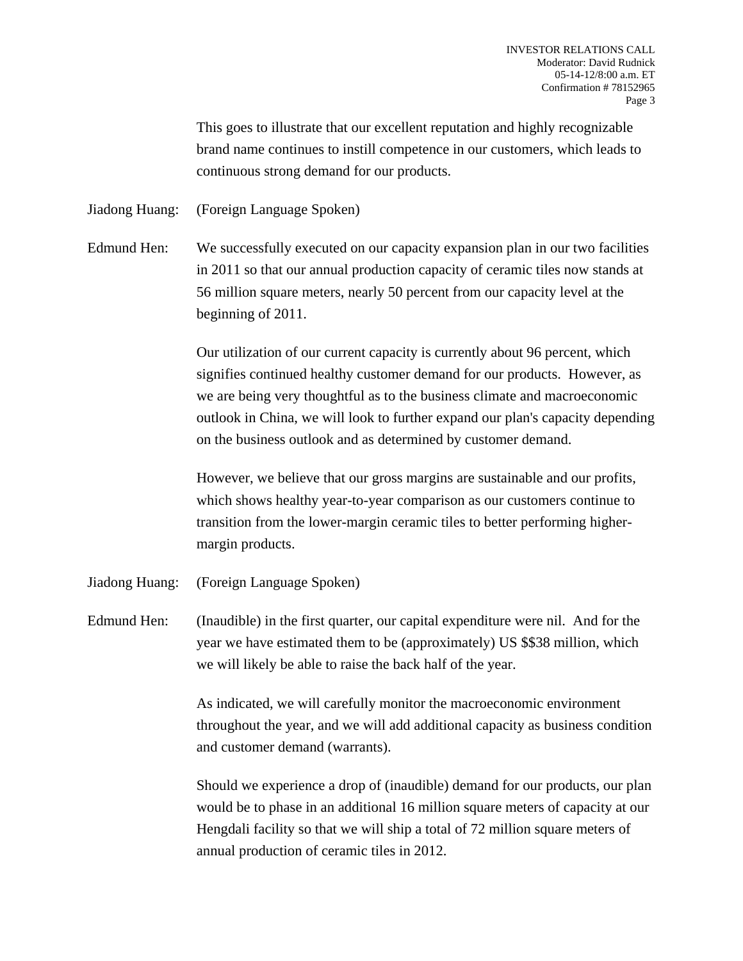This goes to illustrate that our excellent reputation and highly recognizable brand name continues to instill competence in our customers, which leads to continuous strong demand for our products.

Jiadong Huang: (Foreign Language Spoken)

Edmund Hen: We successfully executed on our capacity expansion plan in our two facilities in 2011 so that our annual production capacity of ceramic tiles now stands at 56 million square meters, nearly 50 percent from our capacity level at the beginning of 2011.

> Our utilization of our current capacity is currently about 96 percent, which signifies continued healthy customer demand for our products. However, as we are being very thoughtful as to the business climate and macroeconomic outlook in China, we will look to further expand our plan's capacity depending on the business outlook and as determined by customer demand.

 However, we believe that our gross margins are sustainable and our profits, which shows healthy year-to-year comparison as our customers continue to transition from the lower-margin ceramic tiles to better performing highermargin products.

Jiadong Huang: (Foreign Language Spoken)

Edmund Hen: (Inaudible) in the first quarter, our capital expenditure were nil. And for the year we have estimated them to be (approximately) US \$\$38 million, which we will likely be able to raise the back half of the year.

> As indicated, we will carefully monitor the macroeconomic environment throughout the year, and we will add additional capacity as business condition and customer demand (warrants).

> Should we experience a drop of (inaudible) demand for our products, our plan would be to phase in an additional 16 million square meters of capacity at our Hengdali facility so that we will ship a total of 72 million square meters of annual production of ceramic tiles in 2012.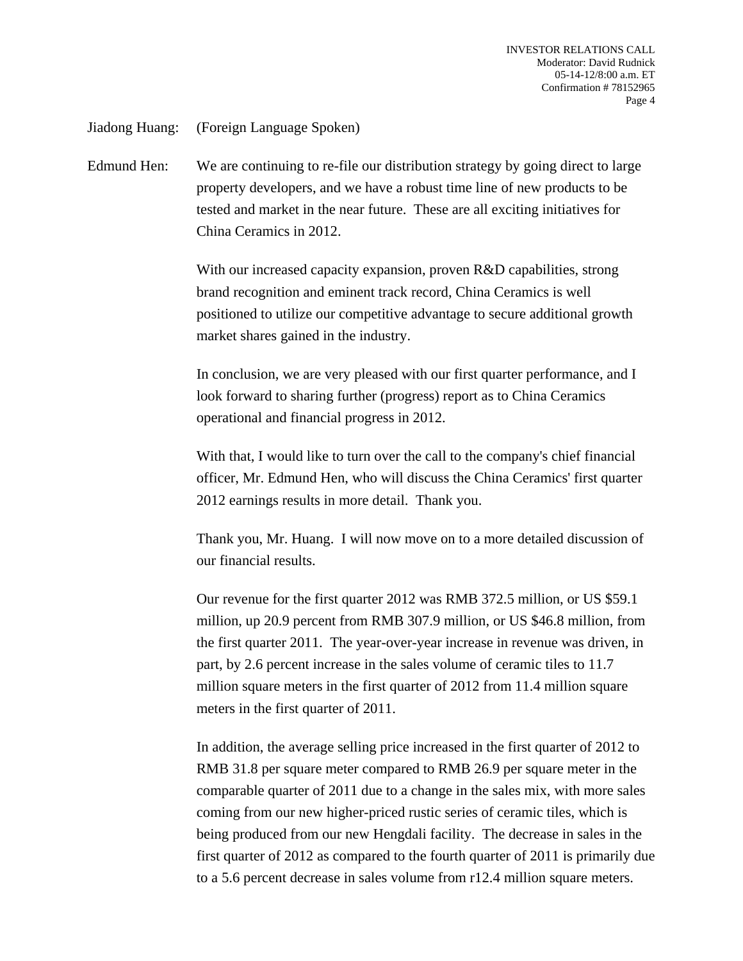Jiadong Huang: (Foreign Language Spoken)

Edmund Hen: We are continuing to re-file our distribution strategy by going direct to large property developers, and we have a robust time line of new products to be tested and market in the near future. These are all exciting initiatives for China Ceramics in 2012.

> With our increased capacity expansion, proven R&D capabilities, strong brand recognition and eminent track record, China Ceramics is well positioned to utilize our competitive advantage to secure additional growth market shares gained in the industry.

> In conclusion, we are very pleased with our first quarter performance, and I look forward to sharing further (progress) report as to China Ceramics operational and financial progress in 2012.

 With that, I would like to turn over the call to the company's chief financial officer, Mr. Edmund Hen, who will discuss the China Ceramics' first quarter 2012 earnings results in more detail. Thank you.

 Thank you, Mr. Huang. I will now move on to a more detailed discussion of our financial results.

 Our revenue for the first quarter 2012 was RMB 372.5 million, or US \$59.1 million, up 20.9 percent from RMB 307.9 million, or US \$46.8 million, from the first quarter 2011. The year-over-year increase in revenue was driven, in part, by 2.6 percent increase in the sales volume of ceramic tiles to 11.7 million square meters in the first quarter of 2012 from 11.4 million square meters in the first quarter of 2011.

 In addition, the average selling price increased in the first quarter of 2012 to RMB 31.8 per square meter compared to RMB 26.9 per square meter in the comparable quarter of 2011 due to a change in the sales mix, with more sales coming from our new higher-priced rustic series of ceramic tiles, which is being produced from our new Hengdali facility. The decrease in sales in the first quarter of 2012 as compared to the fourth quarter of 2011 is primarily due to a 5.6 percent decrease in sales volume from r12.4 million square meters.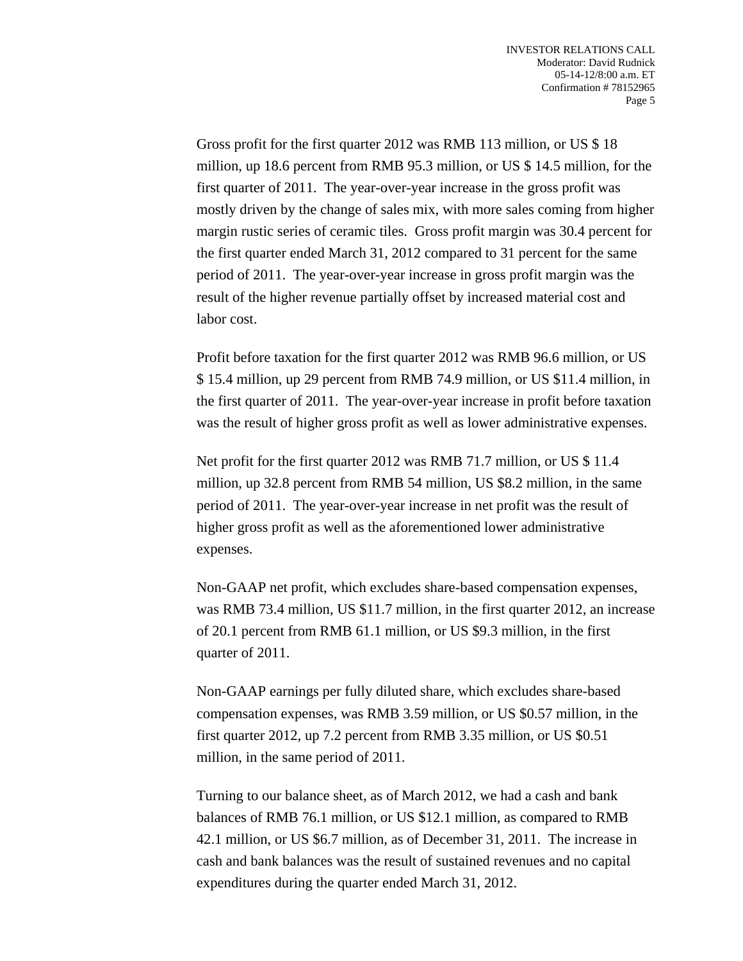Gross profit for the first quarter 2012 was RMB 113 million, or US \$ 18 million, up 18.6 percent from RMB 95.3 million, or US \$ 14.5 million, for the first quarter of 2011. The year-over-year increase in the gross profit was mostly driven by the change of sales mix, with more sales coming from higher margin rustic series of ceramic tiles. Gross profit margin was 30.4 percent for the first quarter ended March 31, 2012 compared to 31 percent for the same period of 2011. The year-over-year increase in gross profit margin was the result of the higher revenue partially offset by increased material cost and labor cost.

 Profit before taxation for the first quarter 2012 was RMB 96.6 million, or US \$ 15.4 million, up 29 percent from RMB 74.9 million, or US \$11.4 million, in the first quarter of 2011. The year-over-year increase in profit before taxation was the result of higher gross profit as well as lower administrative expenses.

 Net profit for the first quarter 2012 was RMB 71.7 million, or US \$ 11.4 million, up 32.8 percent from RMB 54 million, US \$8.2 million, in the same period of 2011. The year-over-year increase in net profit was the result of higher gross profit as well as the aforementioned lower administrative expenses.

 Non-GAAP net profit, which excludes share-based compensation expenses, was RMB 73.4 million, US \$11.7 million, in the first quarter 2012, an increase of 20.1 percent from RMB 61.1 million, or US \$9.3 million, in the first quarter of 2011.

 Non-GAAP earnings per fully diluted share, which excludes share-based compensation expenses, was RMB 3.59 million, or US \$0.57 million, in the first quarter 2012, up 7.2 percent from RMB 3.35 million, or US \$0.51 million, in the same period of 2011.

 Turning to our balance sheet, as of March 2012, we had a cash and bank balances of RMB 76.1 million, or US \$12.1 million, as compared to RMB 42.1 million, or US \$6.7 million, as of December 31, 2011. The increase in cash and bank balances was the result of sustained revenues and no capital expenditures during the quarter ended March 31, 2012.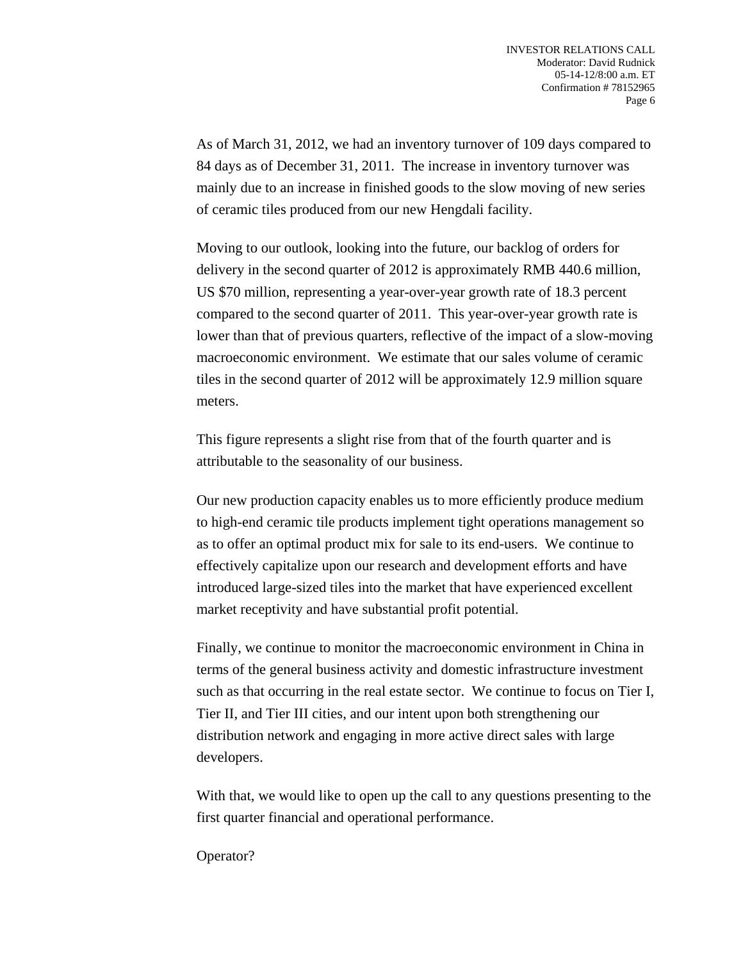As of March 31, 2012, we had an inventory turnover of 109 days compared to 84 days as of December 31, 2011. The increase in inventory turnover was mainly due to an increase in finished goods to the slow moving of new series of ceramic tiles produced from our new Hengdali facility.

 Moving to our outlook, looking into the future, our backlog of orders for delivery in the second quarter of 2012 is approximately RMB 440.6 million, US \$70 million, representing a year-over-year growth rate of 18.3 percent compared to the second quarter of 2011. This year-over-year growth rate is lower than that of previous quarters, reflective of the impact of a slow-moving macroeconomic environment. We estimate that our sales volume of ceramic tiles in the second quarter of 2012 will be approximately 12.9 million square meters.

 This figure represents a slight rise from that of the fourth quarter and is attributable to the seasonality of our business.

 Our new production capacity enables us to more efficiently produce medium to high-end ceramic tile products implement tight operations management so as to offer an optimal product mix for sale to its end-users. We continue to effectively capitalize upon our research and development efforts and have introduced large-sized tiles into the market that have experienced excellent market receptivity and have substantial profit potential.

 Finally, we continue to monitor the macroeconomic environment in China in terms of the general business activity and domestic infrastructure investment such as that occurring in the real estate sector. We continue to focus on Tier I, Tier II, and Tier III cities, and our intent upon both strengthening our distribution network and engaging in more active direct sales with large developers.

 With that, we would like to open up the call to any questions presenting to the first quarter financial and operational performance.

Operator?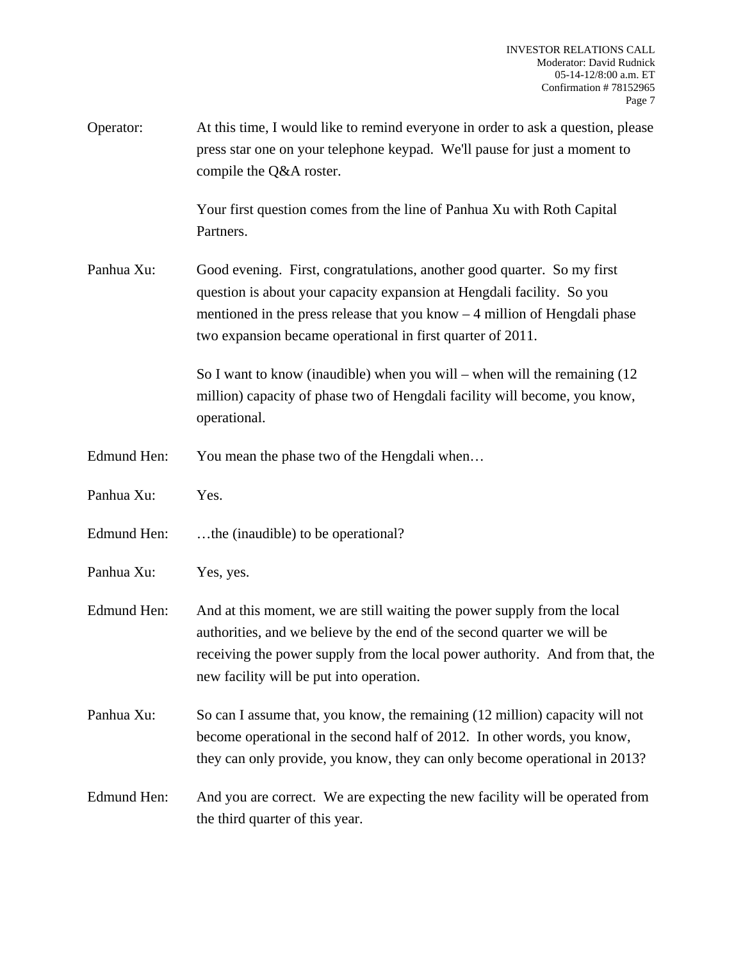| Operator:   | At this time, I would like to remind everyone in order to ask a question, please<br>press star one on your telephone keypad. We'll pause for just a moment to<br>compile the Q&A roster.                                                                                                       |
|-------------|------------------------------------------------------------------------------------------------------------------------------------------------------------------------------------------------------------------------------------------------------------------------------------------------|
|             | Your first question comes from the line of Panhua Xu with Roth Capital<br>Partners.                                                                                                                                                                                                            |
| Panhua Xu:  | Good evening. First, congratulations, another good quarter. So my first<br>question is about your capacity expansion at Hengdali facility. So you<br>mentioned in the press release that you know $-4$ million of Hengdali phase<br>two expansion became operational in first quarter of 2011. |
|             | So I want to know (inaudible) when you will – when will the remaining $(12)$<br>million) capacity of phase two of Hengdali facility will become, you know,<br>operational.                                                                                                                     |
| Edmund Hen: | You mean the phase two of the Hengdali when                                                                                                                                                                                                                                                    |
| Panhua Xu:  | Yes.                                                                                                                                                                                                                                                                                           |
| Edmund Hen: | the (inaudible) to be operational?                                                                                                                                                                                                                                                             |
| Panhua Xu:  | Yes, yes.                                                                                                                                                                                                                                                                                      |
| Edmund Hen: | And at this moment, we are still waiting the power supply from the local<br>authorities, and we believe by the end of the second quarter we will be<br>receiving the power supply from the local power authority. And from that, the<br>new facility will be put into operation.               |
| Panhua Xu:  | So can I assume that, you know, the remaining (12 million) capacity will not<br>become operational in the second half of 2012. In other words, you know,<br>they can only provide, you know, they can only become operational in 2013?                                                         |
| Edmund Hen: | And you are correct. We are expecting the new facility will be operated from<br>the third quarter of this year.                                                                                                                                                                                |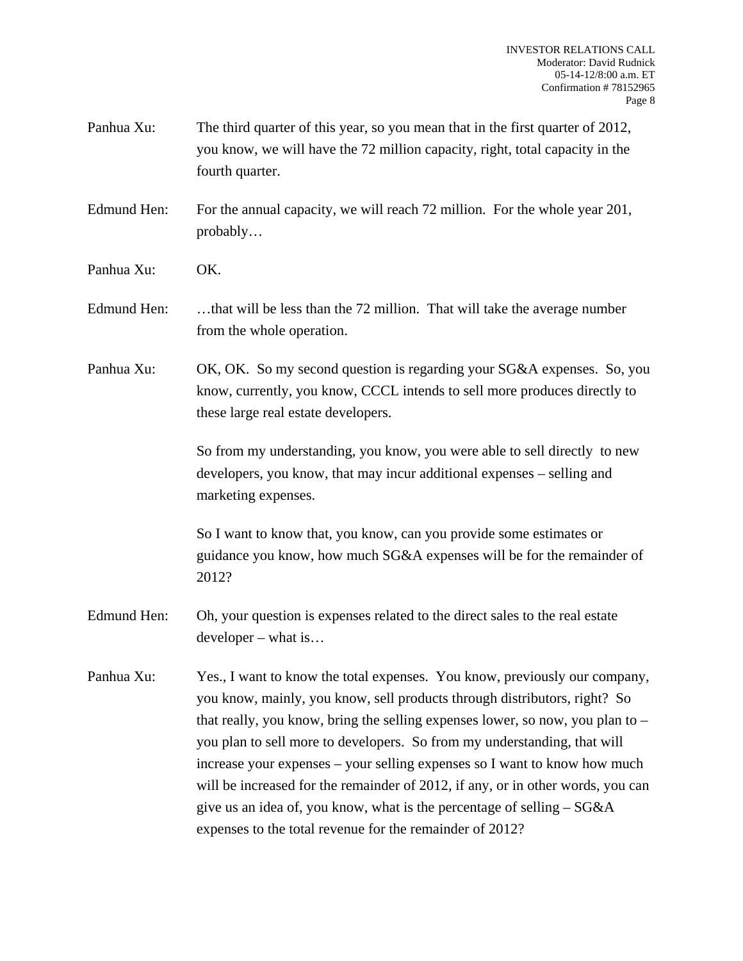- Panhua Xu: The third quarter of this year, so you mean that in the first quarter of 2012, you know, we will have the 72 million capacity, right, total capacity in the fourth quarter.
- Edmund Hen: For the annual capacity, we will reach 72 million. For the whole year 201, probably…
- Panhua Xu: OK.
- Edmund Hen: ...that will be less than the 72 million. That will take the average number from the whole operation.
- Panhua Xu: OK, OK. So my second question is regarding your SG&A expenses. So, you know, currently, you know, CCCL intends to sell more produces directly to these large real estate developers.

 So from my understanding, you know, you were able to sell directly to new developers, you know, that may incur additional expenses – selling and marketing expenses.

 So I want to know that, you know, can you provide some estimates or guidance you know, how much SG&A expenses will be for the remainder of 2012?

- Edmund Hen: Oh, your question is expenses related to the direct sales to the real estate developer – what is…
- Panhua Xu: Yes., I want to know the total expenses. You know, previously our company, you know, mainly, you know, sell products through distributors, right? So that really, you know, bring the selling expenses lower, so now, you plan to – you plan to sell more to developers. So from my understanding, that will increase your expenses – your selling expenses so I want to know how much will be increased for the remainder of 2012, if any, or in other words, you can give us an idea of, you know, what is the percentage of selling  $-$  SG&A expenses to the total revenue for the remainder of 2012?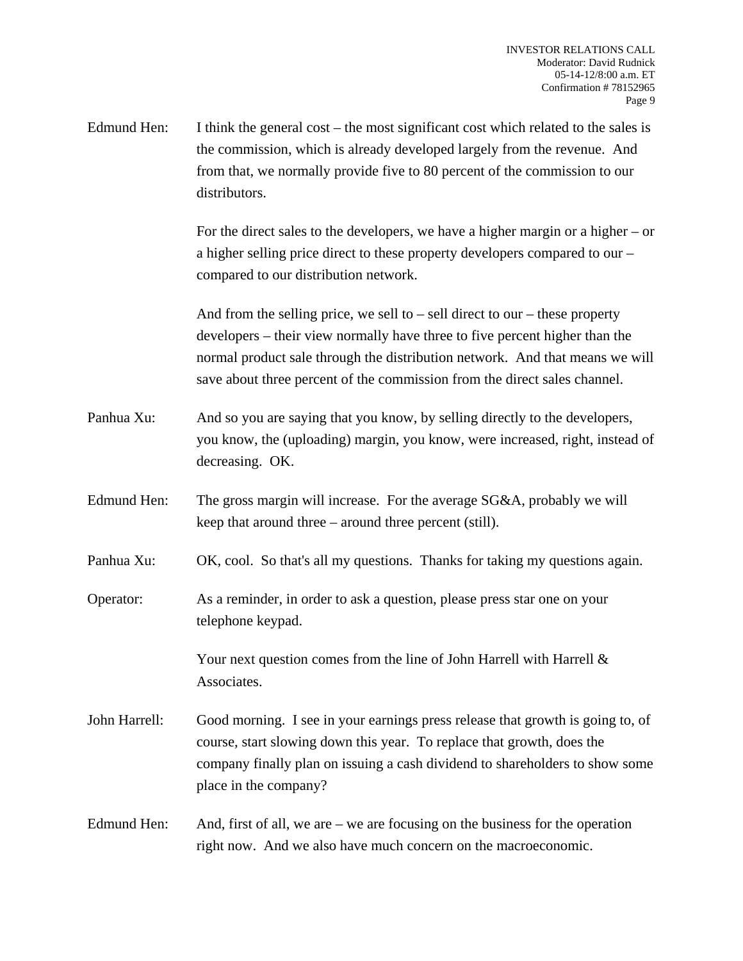Edmund Hen: I think the general cost – the most significant cost which related to the sales is the commission, which is already developed largely from the revenue. And from that, we normally provide five to 80 percent of the commission to our distributors.

> For the direct sales to the developers, we have a higher margin or a higher – or a higher selling price direct to these property developers compared to our – compared to our distribution network.

> And from the selling price, we sell to  $-$  sell direct to our  $-$  these property developers – their view normally have three to five percent higher than the normal product sale through the distribution network. And that means we will save about three percent of the commission from the direct sales channel.

- Panhua Xu: And so you are saying that you know, by selling directly to the developers, you know, the (uploading) margin, you know, were increased, right, instead of decreasing. OK.
- Edmund Hen: The gross margin will increase. For the average SG&A, probably we will keep that around three – around three percent (still).
- Panhua Xu: OK, cool. So that's all my questions. Thanks for taking my questions again.
- Operator: As a reminder, in order to ask a question, please press star one on your telephone keypad.

 Your next question comes from the line of John Harrell with Harrell & Associates.

- John Harrell: Good morning. I see in your earnings press release that growth is going to, of course, start slowing down this year. To replace that growth, does the company finally plan on issuing a cash dividend to shareholders to show some place in the company?
- Edmund Hen: And, first of all, we are we are focusing on the business for the operation right now. And we also have much concern on the macroeconomic.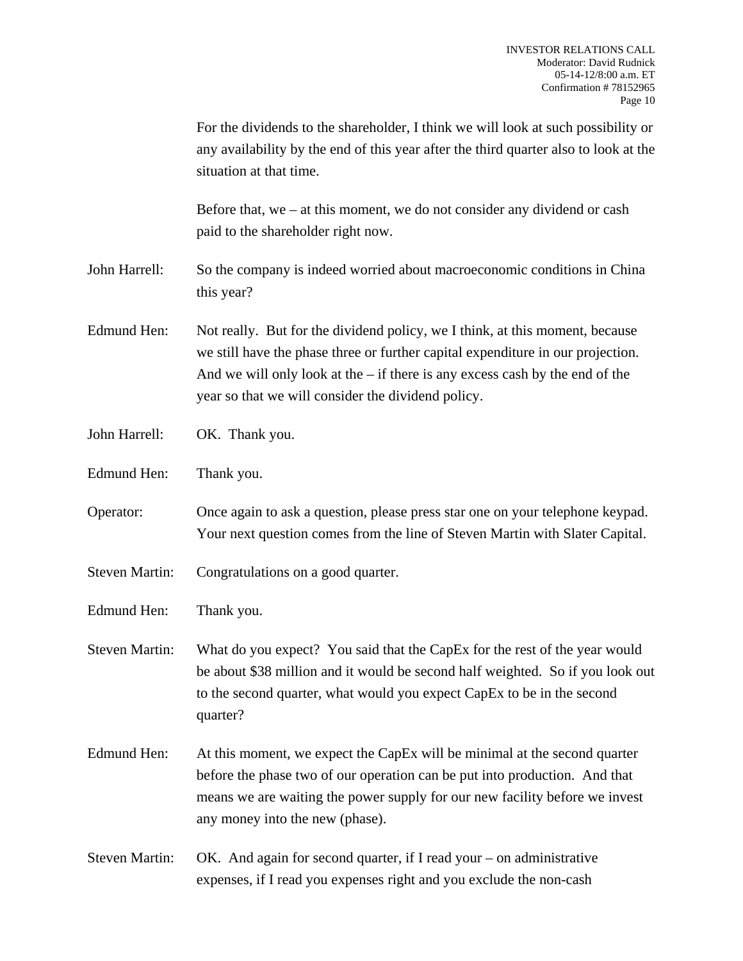|                       | For the dividends to the shareholder, I think we will look at such possibility or<br>any availability by the end of this year after the third quarter also to look at the<br>situation at that time.                                                                                                    |
|-----------------------|---------------------------------------------------------------------------------------------------------------------------------------------------------------------------------------------------------------------------------------------------------------------------------------------------------|
|                       | Before that, we $-$ at this moment, we do not consider any dividend or cash<br>paid to the shareholder right now.                                                                                                                                                                                       |
| John Harrell:         | So the company is indeed worried about macroeconomic conditions in China<br>this year?                                                                                                                                                                                                                  |
| Edmund Hen:           | Not really. But for the dividend policy, we I think, at this moment, because<br>we still have the phase three or further capital expenditure in our projection.<br>And we will only look at the $-$ if there is any excess cash by the end of the<br>year so that we will consider the dividend policy. |
| John Harrell:         | OK. Thank you.                                                                                                                                                                                                                                                                                          |
| Edmund Hen:           | Thank you.                                                                                                                                                                                                                                                                                              |
| Operator:             | Once again to ask a question, please press star one on your telephone keypad.<br>Your next question comes from the line of Steven Martin with Slater Capital.                                                                                                                                           |
| <b>Steven Martin:</b> | Congratulations on a good quarter.                                                                                                                                                                                                                                                                      |
| <b>Edmund Hen:</b>    | Thank you.                                                                                                                                                                                                                                                                                              |
| <b>Steven Martin:</b> | What do you expect? You said that the CapEx for the rest of the year would<br>be about \$38 million and it would be second half weighted. So if you look out<br>to the second quarter, what would you expect CapEx to be in the second<br>quarter?                                                      |
| <b>Edmund Hen:</b>    | At this moment, we expect the CapEx will be minimal at the second quarter<br>before the phase two of our operation can be put into production. And that<br>means we are waiting the power supply for our new facility before we invest<br>any money into the new (phase).                               |
| <b>Steven Martin:</b> | OK. And again for second quarter, if I read your $-$ on administrative<br>expenses, if I read you expenses right and you exclude the non-cash                                                                                                                                                           |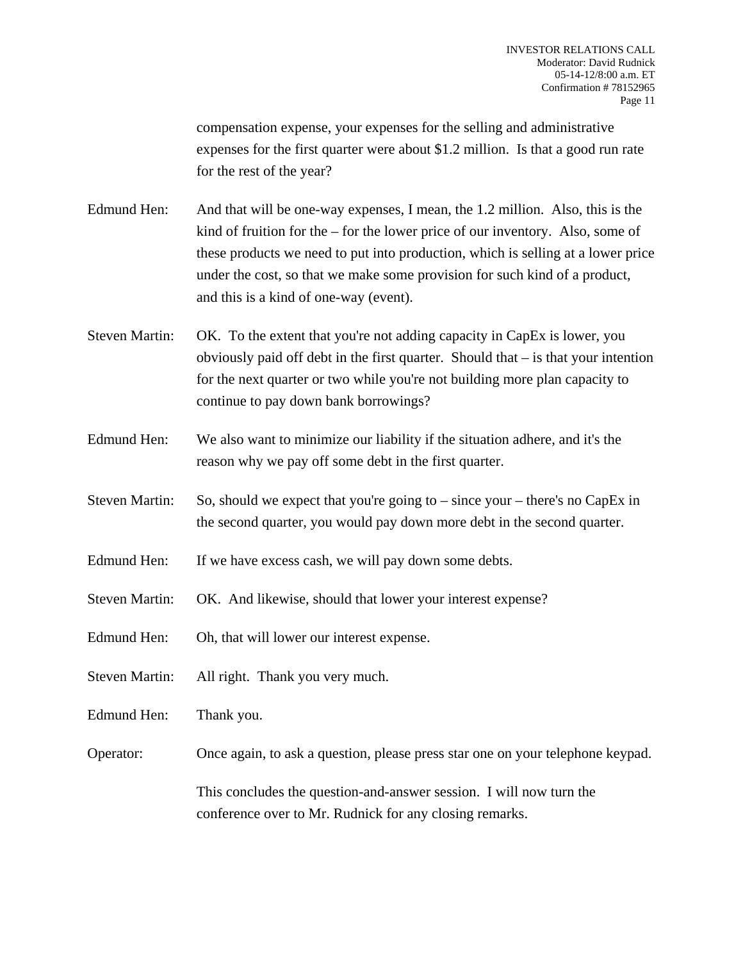compensation expense, your expenses for the selling and administrative expenses for the first quarter were about \$1.2 million. Is that a good run rate for the rest of the year?

Edmund Hen: And that will be one-way expenses, I mean, the 1.2 million. Also, this is the kind of fruition for the – for the lower price of our inventory. Also, some of these products we need to put into production, which is selling at a lower price under the cost, so that we make some provision for such kind of a product, and this is a kind of one-way (event).

- Steven Martin: OK. To the extent that you're not adding capacity in CapEx is lower, you obviously paid off debt in the first quarter. Should that – is that your intention for the next quarter or two while you're not building more plan capacity to continue to pay down bank borrowings?
- Edmund Hen: We also want to minimize our liability if the situation adhere, and it's the reason why we pay off some debt in the first quarter.
- Steven Martin: So, should we expect that you're going to since your there's no CapEx in the second quarter, you would pay down more debt in the second quarter.
- Edmund Hen: If we have excess cash, we will pay down some debts.
- Steven Martin: OK. And likewise, should that lower your interest expense?
- Edmund Hen: Oh, that will lower our interest expense.
- Steven Martin: All right. Thank you very much.
- Edmund Hen: Thank you.
- Operator: Once again, to ask a question, please press star one on your telephone keypad.

 This concludes the question-and-answer session. I will now turn the conference over to Mr. Rudnick for any closing remarks.